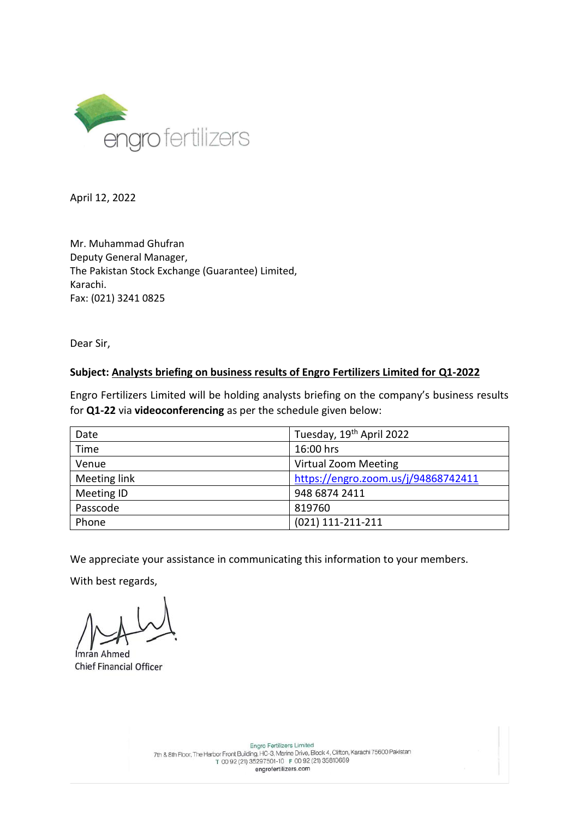

April 12, 2022

Mr. Muhammad Ghufran Deputy General Manager, The Pakistan Stock Exchange (Guarantee) Limited, Karachi. Fax: (021) 3241 0825

Dear Sir,

## **Subject: Analysts briefing on business results of Engro Fertilizers Limited for Q1-2022**

Engro Fertilizers Limited will be holding analysts briefing on the company's business results for **Q1-22** via **videoconferencing** as per the schedule given below:

| Date         | Tuesday, 19 <sup>th</sup> April 2022 |
|--------------|--------------------------------------|
| Time         | 16:00 hrs                            |
| Venue        | <b>Virtual Zoom Meeting</b>          |
| Meeting link | https://engro.zoom.us/j/94868742411  |
| Meeting ID   | 948 6874 2411                        |
| Passcode     | 819760                               |
| Phone        | $(021)$ 111-211-211                  |

We appreciate your assistance in communicating this information to your members.

With best regards,

Ímrán Ahmed Chief Financial Officer

Engro Fertilizers Limited Engro Fertilizers Limited<br>75600 Pakistan (HC-3, Marine Drive, Block 4, Clifton, Karachi 75600 Pakistan (1992)<br>760 92 (21) 35297501-10 F 00 92 (21) 35810669 engrofertilizers.com